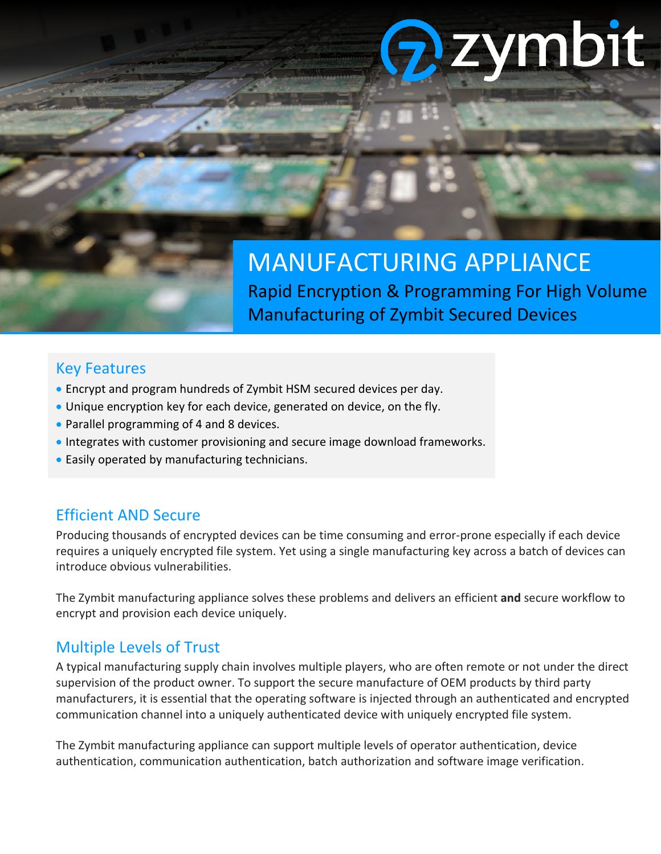# zymbit

## MANUFACTURING APPLIANCE Rapid Encryption & Programming For High Volume Manufacturing of Zymbit Secured Devices

## Key Features

- Encrypt and program hundreds of Zymbit HSM secured devices per day.
- Unique encryption key for each device, generated on device, on the fly.
- Parallel programming of 4 and 8 devices.
- Integrates with customer provisioning and secure image download frameworks.
- Easily operated by manufacturing technicians.

## Efficient AND Secure

Producing thousands of encrypted devices can be time consuming and error-prone especially if each device requires a uniquely encrypted file system. Yet using a single manufacturing key across a batch of devices can introduce obvious vulnerabilities.

The Zymbit manufacturing appliance solves these problems and delivers an efficient **and** secure workflow to encrypt and provision each device uniquely.

## Multiple Levels of Trust

A typical manufacturing supply chain involves multiple players, who are often remote or not under the direct supervision of the product owner. To support the secure manufacture of OEM products by third party manufacturers, it is essential that the operating software is injected through an authenticated and encrypted communication channel into a uniquely authenticated device with uniquely encrypted file system.

The Zymbit manufacturing appliance can support multiple levels of operator authentication, device authentication, communication authentication, batch authorization and software image verification.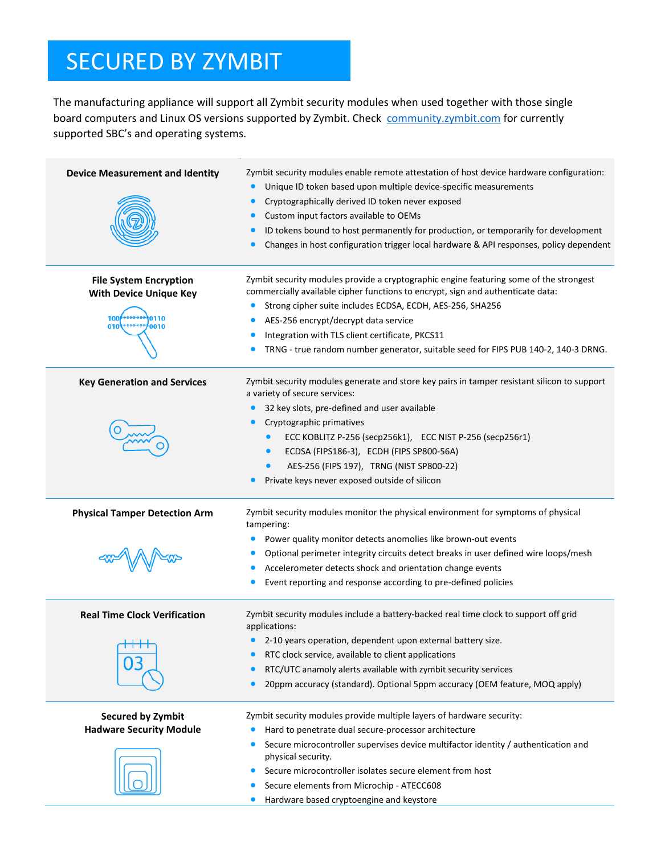# SECURED BY ZYMBIT

The manufacturing appliance will support all Zymbit security modules when used together with those single board computers and Linux OS versions supported by Zymbit. Check [community.zymbit.com](https://community.zymbit.com/) for currently supported SBC's and operating systems.

| <b>Device Measurement and Identity</b><br><b>File System Encryption</b><br><b>With Device Unique Key</b><br>**0110<br>100<br>0010<br>010 | Zymbit security modules enable remote attestation of host device hardware configuration:<br>Unique ID token based upon multiple device-specific measurements<br>Cryptographically derived ID token never exposed<br>Custom input factors available to OEMs<br>ID tokens bound to host permanently for production, or temporarily for development<br>$\bullet$<br>Changes in host configuration trigger local hardware & API responses, policy dependent<br>Zymbit security modules provide a cryptographic engine featuring some of the strongest<br>commercially available cipher functions to encrypt, sign and authenticate data:<br>Strong cipher suite includes ECDSA, ECDH, AES-256, SHA256<br>AES-256 encrypt/decrypt data service<br>Integration with TLS client certificate, PKCS11<br>TRNG - true random number generator, suitable seed for FIPS PUB 140-2, 140-3 DRNG. |
|------------------------------------------------------------------------------------------------------------------------------------------|------------------------------------------------------------------------------------------------------------------------------------------------------------------------------------------------------------------------------------------------------------------------------------------------------------------------------------------------------------------------------------------------------------------------------------------------------------------------------------------------------------------------------------------------------------------------------------------------------------------------------------------------------------------------------------------------------------------------------------------------------------------------------------------------------------------------------------------------------------------------------------|
| <b>Key Generation and Services</b>                                                                                                       | Zymbit security modules generate and store key pairs in tamper resistant silicon to support<br>a variety of secure services:<br>32 key slots, pre-defined and user available<br>Cryptographic primatives<br>ECC KOBLITZ P-256 (secp256k1), ECC NIST P-256 (secp256r1)<br>ECDSA (FIPS186-3), ECDH (FIPS SP800-56A)<br>$\bullet$<br>AES-256 (FIPS 197), TRNG (NIST SP800-22)<br>Private keys never exposed outside of silicon                                                                                                                                                                                                                                                                                                                                                                                                                                                        |
| <b>Physical Tamper Detection Arm</b>                                                                                                     | Zymbit security modules monitor the physical environment for symptoms of physical<br>tampering:<br>Power quality monitor detects anomolies like brown-out events<br>Optional perimeter integrity circuits detect breaks in user defined wire loops/mesh<br>Accelerometer detects shock and orientation change events<br>Event reporting and response according to pre-defined policies                                                                                                                                                                                                                                                                                                                                                                                                                                                                                             |
| <b>Real Time Clock Verification</b><br>$\mathsf{H} \mathsf{H}$                                                                           | Zymbit security modules include a battery-backed real time clock to support off grid<br>applications:<br>2-10 years operation, dependent upon external battery size.<br>RTC clock service, available to client applications<br>RTC/UTC anamoly alerts available with zymbit security services<br>20ppm accuracy (standard). Optional 5ppm accuracy (OEM feature, MOQ apply)                                                                                                                                                                                                                                                                                                                                                                                                                                                                                                        |
| Secured by Zymbit<br><b>Hadware Security Module</b>                                                                                      | Zymbit security modules provide multiple layers of hardware security:<br>Hard to penetrate dual secure-processor architecture<br>Secure microcontroller supervises device multifactor identity / authentication and<br>physical security.<br>Secure microcontroller isolates secure element from host<br>Secure elements from Microchip - ATECC608<br>Hardware based cryptoengine and keystore<br>$\bullet$                                                                                                                                                                                                                                                                                                                                                                                                                                                                        |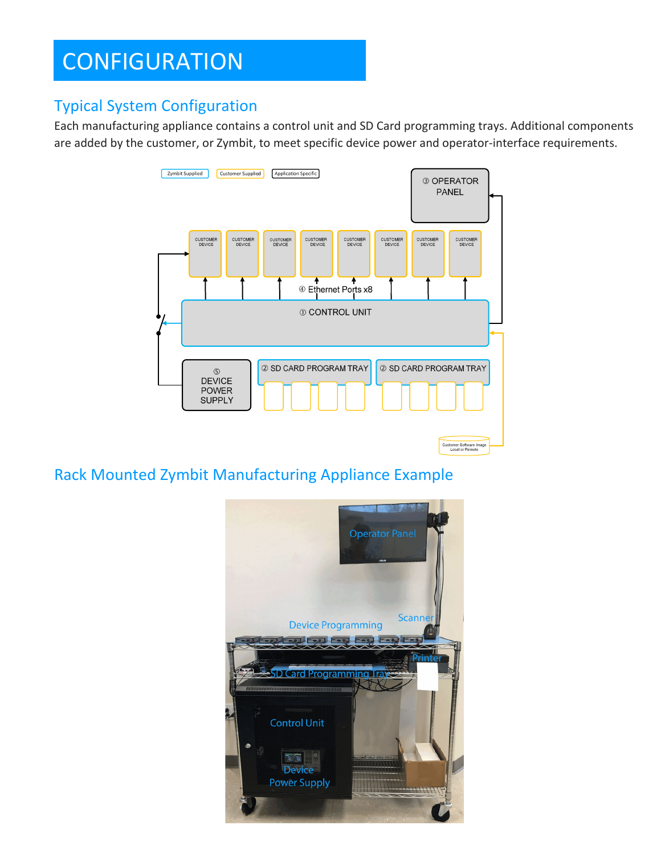# **CONFIGURATION**

## Typical System Configuration

Each manufacturing appliance contains a control unit and SD Card programming trays. Additional components are added by the customer, or Zymbit, to meet specific device power and operator-interface requirements.



Rack Mounted Zymbit Manufacturing Appliance Example

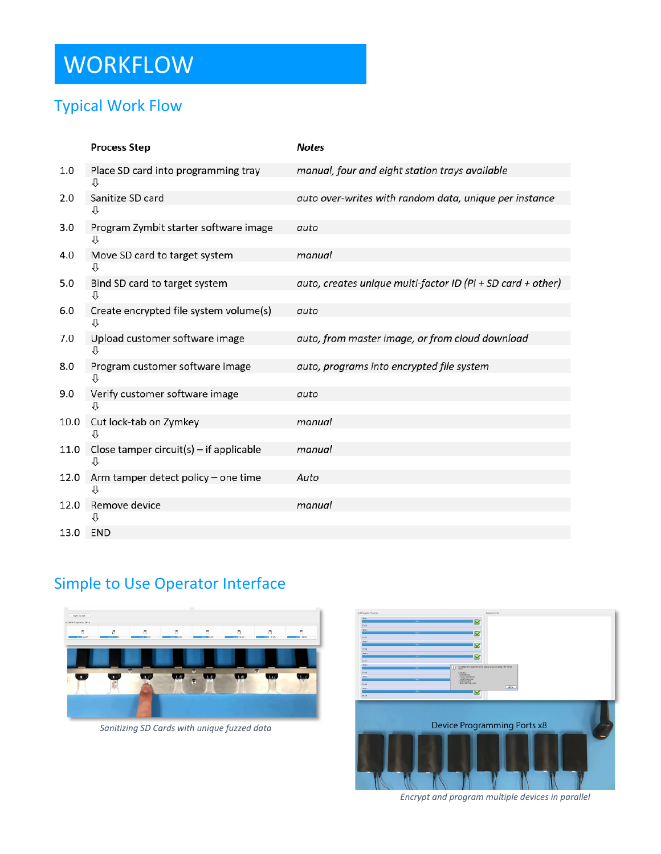# **WORKFLOW**

## Typical Work Flow

|      | <b>Process Step</b>                       | <b>Notes</b>                                                |
|------|-------------------------------------------|-------------------------------------------------------------|
| 1.0  | Place SD card into programming tray       | manual, four and eight station trays available              |
|      | ⇩                                         |                                                             |
| 2.0  | Sanitize SD card<br>⇩                     | auto over-writes with random data, unique per instance      |
| 3.0  | Program Zymbit starter software image     | auto                                                        |
| 4.0  | Move SD card to target system<br>⇩        | manual                                                      |
| 5.0  | Bind SD card to target system<br>⇩        | auto, creates unique multi-factor ID (Pi + SD card + other) |
| 6.0  | Create encrypted file system volume(s)    | auto                                                        |
|      | ſŀ                                        |                                                             |
| 7.0  | Upload customer software image<br>⇓       | auto, from master image, or from cloud download             |
| 8.0  | Program customer software image           | auto, programs into encrypted file system                   |
| 9.0  | Verify customer software image            | auto                                                        |
|      | ⇩                                         |                                                             |
| 10.0 | Cut lock-tab on Zymkey                    | manual                                                      |
| 11.0 | Close tamper circuit(s) $-$ if applicable | manual                                                      |
|      |                                           |                                                             |
| 12.0 | Arm tamper detect policy - one time<br>⇩  | Auto                                                        |
| 12.0 | Remove device                             | manual                                                      |
|      |                                           |                                                             |
| 13.0 | <b>END</b>                                |                                                             |

## Simple to Use Operator Interface



*Sanitizing SD Cards with unique fuzzed data*



*Encrypt and program multiple devices in parallel*